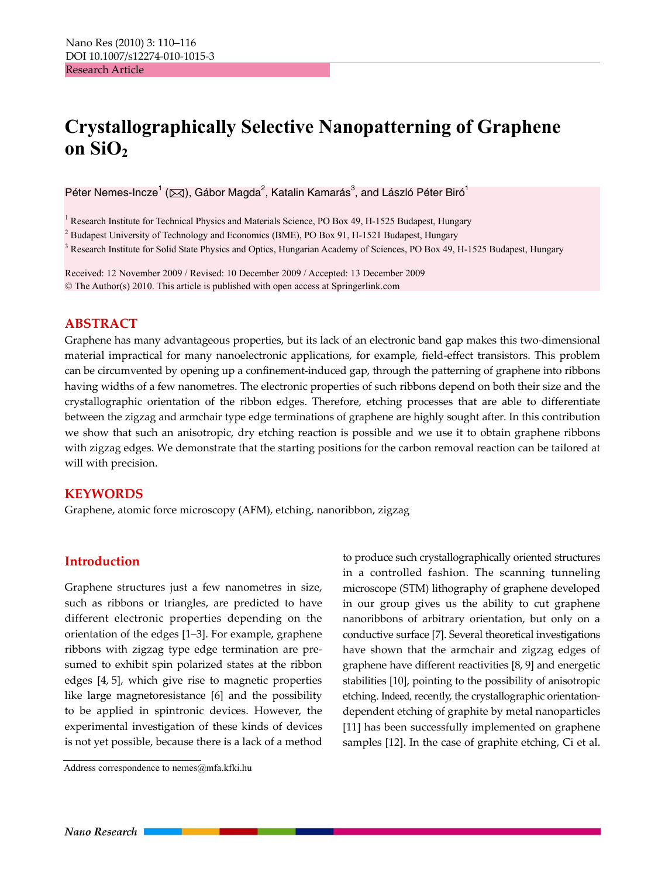# **Crystallographically Selective Nanopatterning of Graphene**  on SiO<sub>2</sub>

Péter Nemes-Incze<sup>1</sup> (⊠), Gábor Magda<sup>2</sup>, Katalin Kamarás<sup>3</sup>, and László Péter Biró<sup>1</sup>

<sup>1</sup> Research Institute for Technical Physics and Materials Science, PO Box 49, H-1525 Budapest, Hungary

 $2$  Budapest University of Technology and Economics (BME), PO Box 91, H-1521 Budapest, Hungary

<sup>3</sup> Research Institute for Solid State Physics and Optics, Hungarian Academy of Sciences, PO Box 49, H-1525 Budapest, Hungary

Received: 12 November 2009 / Revised: 10 December 2009 / Accepted: 13 December 2009 © The Author(s) 2010. This article is published with open access at Springerlink.com

### **ABSTRACT**

Graphene has many advantageous properties, but its lack of an electronic band gap makes this two-dimensional material impractical for many nanoelectronic applications, for example, field-effect transistors. This problem can be circumvented by opening up a confinement-induced gap, through the patterning of graphene into ribbons having widths of a few nanometres. The electronic properties of such ribbons depend on both their size and the crystallographic orientation of the ribbon edges. Therefore, etching processes that are able to differentiate between the zigzag and armchair type edge terminations of graphene are highly sought after. In this contribution we show that such an anisotropic, dry etching reaction is possible and we use it to obtain graphene ribbons with zigzag edges. We demonstrate that the starting positions for the carbon removal reaction can be tailored at will with precision.

#### **KEYWORDS**

Graphene, atomic force microscopy (AFM), etching, nanoribbon, zigzag

## **Introduction**

Graphene structures just a few nanometres in size, such as ribbons or triangles, are predicted to have different electronic properties depending on the orientation of the edges [1–3]. For example, graphene ribbons with zigzag type edge termination are presumed to exhibit spin polarized states at the ribbon edges [4, 5], which give rise to magnetic properties like large magnetoresistance [6] and the possibility to be applied in spintronic devices. However, the experimental investigation of these kinds of devices is not yet possible, because there is a lack of a method

Address correspondence to nemes@mfa.kfki.hu

to produce such crystallographically oriented structures in a controlled fashion. The scanning tunneling microscope (STM) lithography of graphene developed in our group gives us the ability to cut graphene nanoribbons of arbitrary orientation, but only on a conductive surface [7]. Several theoretical investigations have shown that the armchair and zigzag edges of graphene have different reactivities [8, 9] and energetic stabilities [10], pointing to the possibility of anisotropic etching. Indeed, recently, the crystallographic orientationdependent etching of graphite by metal nanoparticles [11] has been successfully implemented on graphene samples [12]. In the case of graphite etching, Ci et al.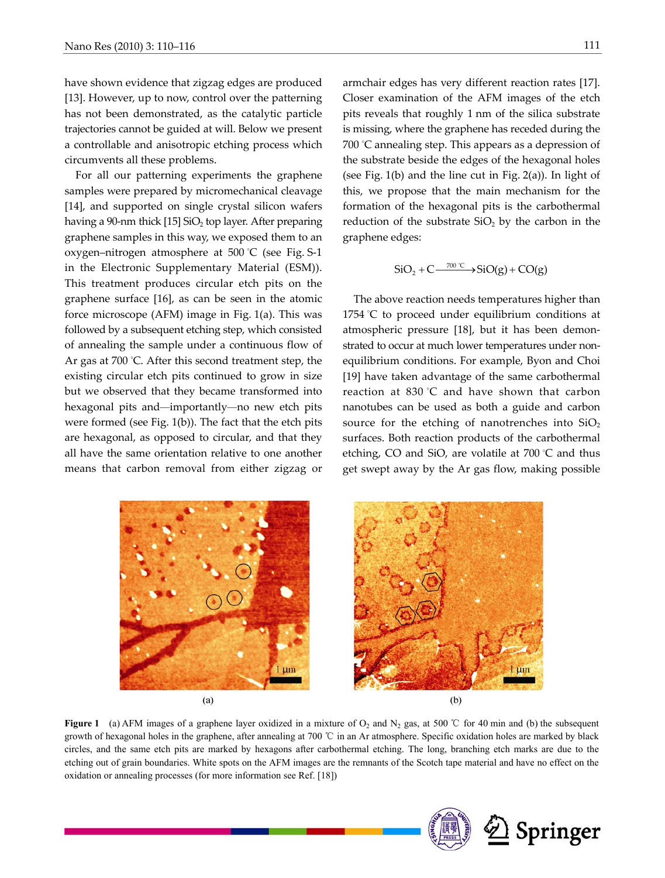have shown evidence that zigzag edges are produced [13]. However, up to now, control over the patterning has not been demonstrated, as the catalytic particle trajectories cannot be guided at will. Below we present a controllable and anisotropic etching process which circumvents all these problems.

For all our patterning experiments the graphene samples were prepared by micromechanical cleavage [14], and supported on single crystal silicon wafers having a 90-nm thick  $[15]$  SiO<sub>2</sub> top layer. After preparing graphene samples in this way, we exposed them to an oxygen–nitrogen atmosphere at 500 ° C (see Fig. S-1 in the Electronic Supplementary Material (ESM)). This treatment produces circular etch pits on the graphene surface [16], as can be seen in the atomic force microscope (AFM) image in Fig. 1(a). This was followed by a subsequent etching step, which consisted of annealing the sample under a continuous flow of Ar gas at 700 ° C. After this second treatment step, the existing circular etch pits continued to grow in size but we observed that they became transformed into hexagonal pits and—importantly—no new etch pits were formed (see Fig. 1(b)). The fact that the etch pits are hexagonal, as opposed to circular, and that they all have the same orientation relative to one another means that carbon removal from either zigzag or

armchair edges has very different reaction rates [17]. Closer examination of the AFM images of the etch pits reveals that roughly 1 nm of the silica substrate is missing, where the graphene has receded during the 700 ° C annealing step. This appears as a depression of the substrate beside the edges of the hexagonal holes (see Fig.  $1(b)$  and the line cut in Fig.  $2(a)$ ). In light of this, we propose that the main mechanism for the formation of the hexagonal pits is the carbothermal reduction of the substrate  $SiO<sub>2</sub>$  by the carbon in the graphene edges:

$$
SiO_2 + C \xrightarrow{700^{\circ}C} SiO(g) + CO(g)
$$

The above reaction needs temperatures higher than 1754 ° C to proceed under equilibrium conditions at atmospheric pressure [18], but it has been demonstrated to occur at much lower temperatures under nonequilibrium conditions. For example, Byon and Choi [19] have taken advantage of the same carbothermal reaction at 830 °C and have shown that carbon nanotubes can be used as both a guide and carbon source for the etching of nanotrenches into  $SiO<sub>2</sub>$ surfaces. Both reaction products of the carbothermal etching, CO and SiO, are volatile at 700 ° C and thus get swept away by the Ar gas flow, making possible



**Figure 1** (a) AFM images of a graphene layer oxidized in a mixture of  $O_2$  and  $N_2$  gas, at 500 °C for 40 min and (b) the subsequent growth of hexagonal holes in the graphene, after annealing at 700 ℃ in an Ar atmosphere. Specific oxidation holes are marked by black circles, and the same etch pits are marked by hexagons after carbothermal etching. The long, branching etch marks are due to the etching out of grain boundaries. White spots on the AFM images are the remnants of the Scotch tape material and have no effect on the oxidation or annealing processes (for more information see Ref. [18])

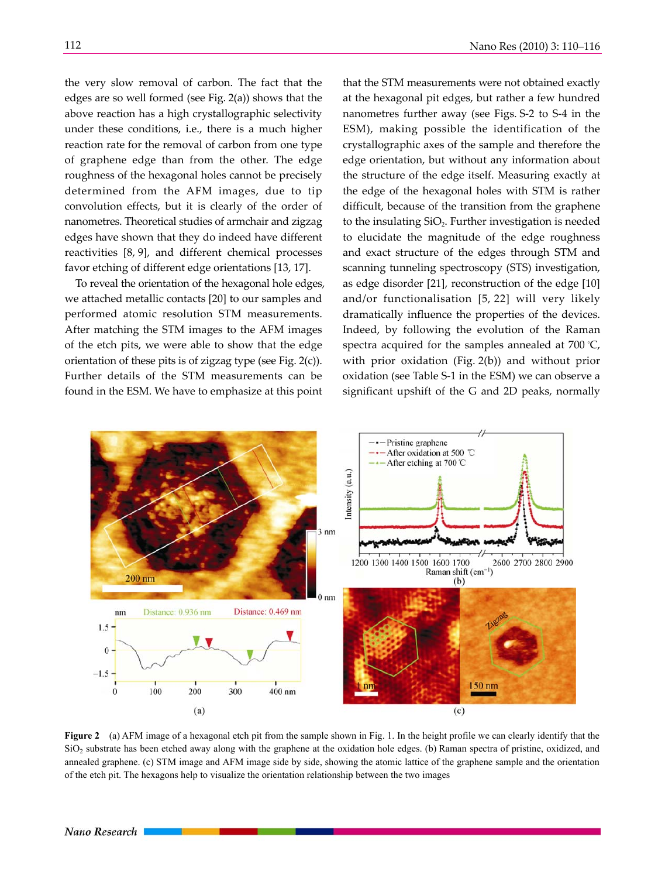reaction rate for the removal of carbon from one type of graphene edge than from the other. The edge roughness of the hexagonal holes cannot be precisely determined from the AFM images, due to tip convolution effects, but it is clearly of the order of nanometres. Theoretical studies of armchair and zigzag edges have shown that they do indeed have different reactivities [8, 9], and different chemical processes favor etching of different edge orientations [13, 17].

To reveal the orientation of the hexagonal hole edges, we attached metallic contacts [20] to our samples and performed atomic resolution STM measurements. After matching the STM images to the AFM images of the etch pits, we were able to show that the edge orientation of these pits is of zigzag type (see Fig. 2(c)). Further details of the STM measurements can be found in the ESM. We have to emphasize at this point

that the STM measurements were not obtained exactly at the hexagonal pit edges, but rather a few hundred nanometres further away (see Figs. S-2 to S-4 in the ESM), making possible the identification of the crystallographic axes of the sample and therefore the edge orientation, but without any information about the structure of the edge itself. Measuring exactly at the edge of the hexagonal holes with STM is rather difficult, because of the transition from the graphene to the insulating  $SiO<sub>2</sub>$ . Further investigation is needed to elucidate the magnitude of the edge roughness and exact structure of the edges through STM and scanning tunneling spectroscopy (STS) investigation, as edge disorder [21], reconstruction of the edge [10] and/or functionalisation [5, 22] will very likely dramatically influence the properties of the devices. Indeed, by following the evolution of the Raman spectra acquired for the samples annealed at 700 ° C, with prior oxidation (Fig. 2(b)) and without prior oxidation (see Table S-1 in the ESM) we can observe a significant upshift of the G and 2D peaks, normally



**Figure 2** (a) AFM image of a hexagonal etch pit from the sample shown in Fig. 1. In the height profile we can clearly identify that the  $SiO<sub>2</sub>$  substrate has been etched away along with the graphene at the oxidation hole edges. (b) Raman spectra of pristine, oxidized, and annealed graphene. (c) STM image and AFM image side by side, showing the atomic lattice of the graphene sample and the orientation of the etch pit. The hexagons help to visualize the orientation relationship between the two images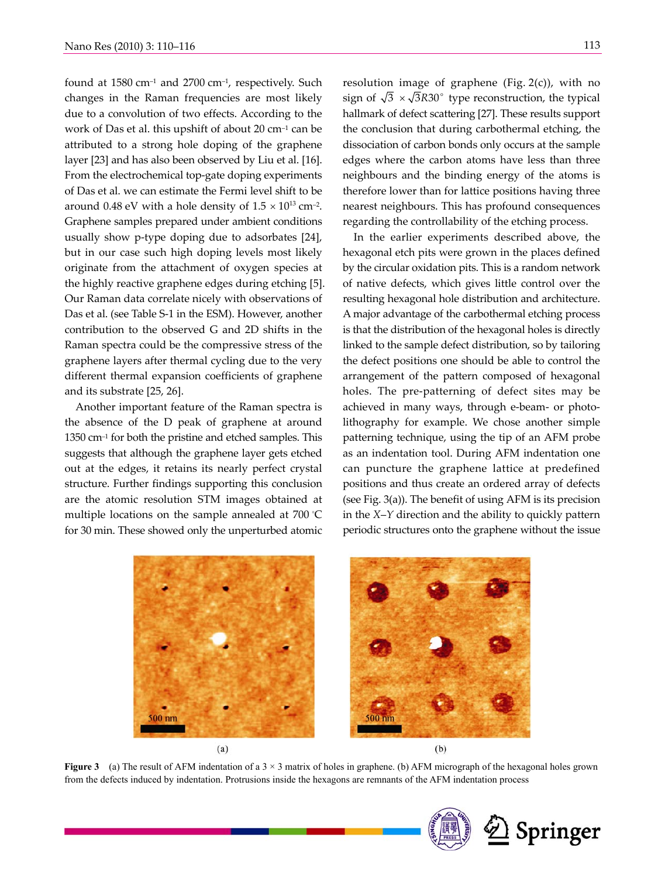found at  $1580 \text{ cm}^{-1}$  and  $2700 \text{ cm}^{-1}$ , respectively. Such changes in the Raman frequencies are most likely due to a convolution of two effects. According to the work of Das et al. this upshift of about 20 cm–1 can be attributed to a strong hole doping of the graphene layer [23] and has also been observed by Liu et al. [16]. From the electrochemical top-gate doping experiments of Das et al. we can estimate the Fermi level shift to be around 0.48 eV with a hole density of  $1.5 \times 10^{13}$  cm<sup>-2</sup>. Graphene samples prepared under ambient conditions usually show p-type doping due to adsorbates [24], but in our case such high doping levels most likely originate from the attachment of oxygen species at the highly reactive graphene edges during etching [5]. Our Raman data correlate nicely with observations of Das et al. (see Table S-1 in the ESM). However, another contribution to the observed G and 2D shifts in the Raman spectra could be the compressive stress of the graphene layers after thermal cycling due to the very different thermal expansion coefficients of graphene and its substrate [25, 26].

Another important feature of the Raman spectra is the absence of the D peak of graphene at around 1350 cm–1 for both the pristine and etched samples. This suggests that although the graphene layer gets etched out at the edges, it retains its nearly perfect crystal structure. Further findings supporting this conclusion are the atomic resolution STM images obtained at multiple locations on the sample annealed at 700 ° C for 30 min. These showed only the unperturbed atomic

resolution image of graphene (Fig. 2(c)), with no sign of  $\sqrt{3} \times \sqrt{3}R30^{\circ}$  type reconstruction, the typical hallmark of defect scattering [27]. These results support the conclusion that during carbothermal etching, the dissociation of carbon bonds only occurs at the sample edges where the carbon atoms have less than three neighbours and the binding energy of the atoms is therefore lower than for lattice positions having three nearest neighbours. This has profound consequences regarding the controllability of the etching process.

In the earlier experiments described above, the hexagonal etch pits were grown in the places defined by the circular oxidation pits. This is a random network of native defects, which gives little control over the resulting hexagonal hole distribution and architecture. A major advantage of the carbothermal etching process is that the distribution of the hexagonal holes is directly linked to the sample defect distribution, so by tailoring the defect positions one should be able to control the arrangement of the pattern composed of hexagonal holes. The pre-patterning of defect sites may be achieved in many ways, through e-beam- or photolithography for example. We chose another simple patterning technique, using the tip of an AFM probe as an indentation tool. During AFM indentation one can puncture the graphene lattice at predefined positions and thus create an ordered array of defects (see Fig. 3(a)). The benefit of using AFM is its precision in the *X*–*Y* direction and the ability to quickly pattern periodic structures onto the graphene without the issue



**Figure 3** (a) The result of AFM indentation of a  $3 \times 3$  matrix of holes in graphene. (b) AFM micrograph of the hexagonal holes grown from the defects induced by indentation. Protrusions inside the hexagons are remnants of the AFM indentation process

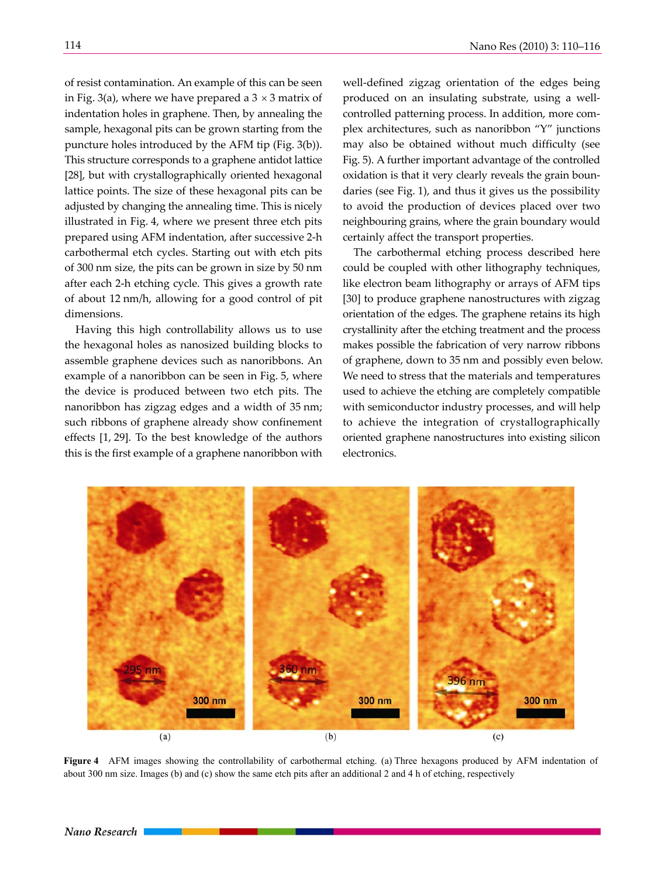of resist contamination. An example of this can be seen in Fig. 3(a), where we have prepared a  $3 \times 3$  matrix of indentation holes in graphene. Then, by annealing the sample, hexagonal pits can be grown starting from the puncture holes introduced by the AFM tip (Fig. 3(b)). This structure corresponds to a graphene antidot lattice [28], but with crystallographically oriented hexagonal lattice points. The size of these hexagonal pits can be adjusted by changing the annealing time. This is nicely illustrated in Fig. 4, where we present three etch pits

prepared using AFM indentation, after successive 2-h carbothermal etch cycles. Starting out with etch pits of 300 nm size, the pits can be grown in size by 50 nm after each 2-h etching cycle. This gives a growth rate of about 12 nm/h, allowing for a good control of pit dimensions.

Having this high controllability allows us to use the hexagonal holes as nanosized building blocks to assemble graphene devices such as nanoribbons. An example of a nanoribbon can be seen in Fig. 5, where the device is produced between two etch pits. The nanoribbon has zigzag edges and a width of 35 nm; such ribbons of graphene already show confinement effects [1, 29]. To the best knowledge of the authors this is the first example of a graphene nanoribbon with

well-defined zigzag orientation of the edges being produced on an insulating substrate, using a wellcontrolled patterning process. In addition, more complex architectures, such as nanoribbon "Y" junctions may also be obtained without much difficulty (see Fig. 5). A further important advantage of the controlled oxidation is that it very clearly reveals the grain boundaries (see Fig. 1), and thus it gives us the possibility to avoid the production of devices placed over two neighbouring grains, where the grain boundary would certainly affect the transport properties.

The carbothermal etching process described here could be coupled with other lithography techniques, like electron beam lithography or arrays of AFM tips [30] to produce graphene nanostructures with zigzag orientation of the edges. The graphene retains its high crystallinity after the etching treatment and the process makes possible the fabrication of very narrow ribbons of graphene, down to 35 nm and possibly even below. We need to stress that the materials and temperatures used to achieve the etching are completely compatible with semiconductor industry processes, and will help to achieve the integration of crystallographically oriented graphene nanostructures into existing silicon electronics.



**Figure 4** AFM images showing the controllability of carbothermal etching. (a) Three hexagons produced by AFM indentation of about 300 nm size. Images (b) and (c) show the same etch pits after an additional 2 and 4 h of etching, respectively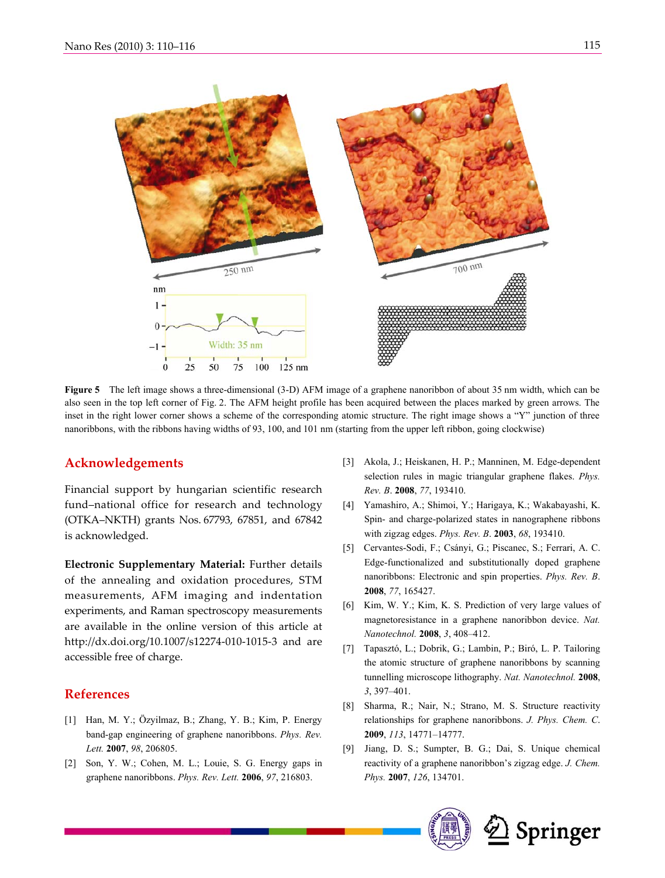

**Figure 5** The left image shows a three-dimensional (3-D) AFM image of a graphene nanoribbon of about 35 nm width, which can be also seen in the top left corner of Fig. 2. The AFM height profile has been acquired between the places marked by green arrows. The inset in the right lower corner shows a scheme of the corresponding atomic structure. The right image shows a "Y" junction of three nanoribbons, with the ribbons having widths of 93, 100, and 101 nm (starting from the upper left ribbon, going clockwise)

#### **Acknowledgements**

Financial support by hungarian scientific research fund–national office for research and technology (OTKA–NKTH) grants Nos. 67793, 67851, and 67842 is acknowledged.

**Electronic Supplementary Material:** Further details of the annealing and oxidation procedures, STM measurements, AFM imaging and indentation experiments, and Raman spectroscopy measurements are available in the online version of this article at http://dx.doi.org/10.1007/s12274-010-1015-3 and are accessible free of charge.

## **References**

- [1] Han, M. Y.; Özyilmaz, B.; Zhang, Y. B.; Kim, P. Energy band-gap engineering of graphene nanoribbons. *Phys. Rev. Lett.* **2007**, *98*, 206805.
- [2] Son, Y. W.; Cohen, M. L.; Louie, S. G. Energy gaps in graphene nanoribbons. *Phys. Rev. Lett.* **2006**, *97*, 216803.
- [3] Akola, J.; Heiskanen, H. P.; Manninen, M. Edge-dependent selection rules in magic triangular graphene flakes. *Phys. Rev. B*. **2008**, *77*, 193410.
- [4] Yamashiro, A.; Shimoi, Y.; Harigaya, K.; Wakabayashi, K. Spin- and charge-polarized states in nanographene ribbons with zigzag edges. *Phys. Rev. B*. **2003**, *68*, 193410.
- [5] Cervantes-Sodi, F.; Csányi, G.; Piscanec, S.; Ferrari, A. C. Edge-functionalized and substitutionally doped graphene nanoribbons: Electronic and spin properties. *Phys. Rev. B*. **2008**, *77*, 165427.
- [6] Kim, W. Y.; Kim, K. S. Prediction of very large values of magnetoresistance in a graphene nanoribbon device. *Nat. Nanotechnol.* **2008**, *3*, 408–412.
- [7] Tapasztó, L.; Dobrik, G.; Lambin, P.; Biró, L. P. Tailoring the atomic structure of graphene nanoribbons by scanning tunnelling microscope lithography. *Nat. Nanotechnol.* **2008**, *3*, 397–401.
- [8] Sharma, R.; Nair, N.; Strano, M. S. Structure reactivity relationships for graphene nanoribbons. *J. Phys. Chem. C*. **2009**, *113*, 14771–14777.
- [9] Jiang, D. S.; Sumpter, B. G.; Dai, S. Unique chemical reactivity of a graphene nanoribbon's zigzag edge. *J. Chem. Phys.* **2007**, *126*, 134701.